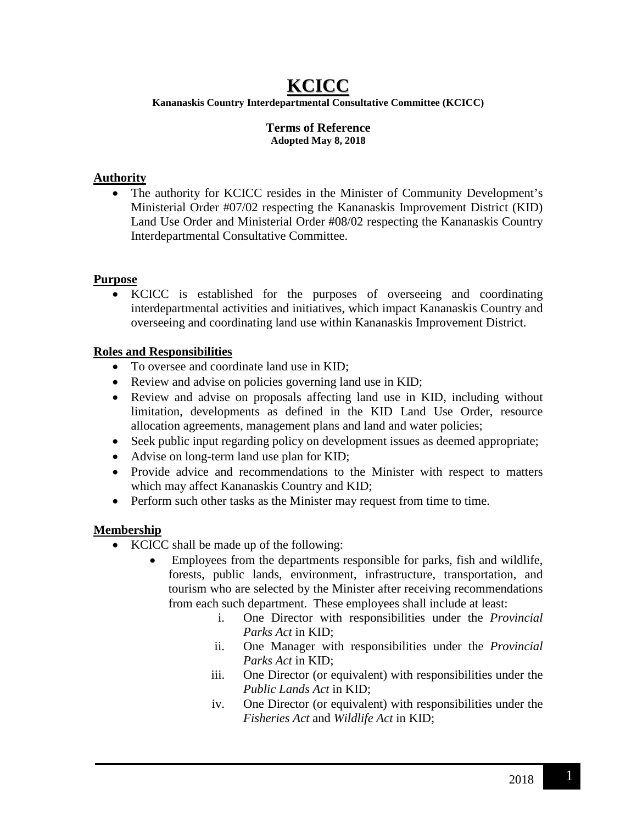# **KCICC**

**Kananaskis Country Interdepartmental Consultative Committee (KCICC)**

#### **Terms of Reference Adopted May 8, 2018**

### **Authority**

• The authority for KCICC resides in the Minister of Community Development's Ministerial Order #07/02 respecting the Kananaskis Improvement District (KID) Land Use Order and Ministerial Order #08/02 respecting the Kananaskis Country Interdepartmental Consultative Committee.

#### **Purpose**

• KCICC is established for the purposes of overseeing and coordinating interdepartmental activities and initiatives, which impact Kananaskis Country and overseeing and coordinating land use within Kananaskis Improvement District.

#### **Roles and Responsibilities**

- To oversee and coordinate land use in KID:
- Review and advise on policies governing land use in KID;
- Review and advise on proposals affecting land use in KID, including without limitation, developments as defined in the KID Land Use Order, resource allocation agreements, management plans and land and water policies;
- Seek public input regarding policy on development issues as deemed appropriate;
- Advise on long-term land use plan for KID;
- Provide advice and recommendations to the Minister with respect to matters which may affect Kananaskis Country and KID;
- Perform such other tasks as the Minister may request from time to time.

## **Membership**

- KCICC shall be made up of the following:
	- Employees from the departments responsible for parks, fish and wildlife, forests, public lands, environment, infrastructure, transportation, and tourism who are selected by the Minister after receiving recommendations from each such department. These employees shall include at least:
		- i. One Director with responsibilities under the *Provincial Parks Act* in KID;
		- ii. One Manager with responsibilities under the *Provincial Parks Act* in KID;
		- iii. One Director (or equivalent) with responsibilities under the *Public Lands Act* in KID;
		- iv. One Director (or equivalent) with responsibilities under the *Fisheries Act* and *Wildlife Act* in KID;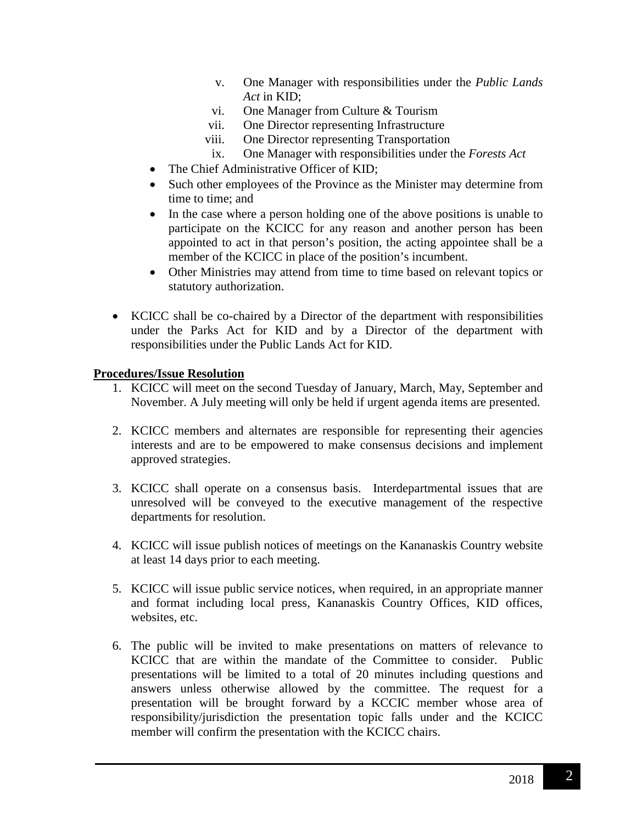- v. One Manager with responsibilities under the *Public Lands Act* in KID;
- vi. One Manager from Culture & Tourism
- vii. One Director representing Infrastructure
- viii. One Director representing Transportation
- ix. One Manager with responsibilities under the *Forests Act*
- The Chief Administrative Officer of KID;
- Such other employees of the Province as the Minister may determine from time to time; and
- In the case where a person holding one of the above positions is unable to participate on the KCICC for any reason and another person has been appointed to act in that person's position, the acting appointee shall be a member of the KCICC in place of the position's incumbent.
- Other Ministries may attend from time to time based on relevant topics or statutory authorization.
- KCICC shall be co-chaired by a Director of the department with responsibilities under the Parks Act for KID and by a Director of the department with responsibilities under the Public Lands Act for KID.

#### **Procedures/Issue Resolution**

- 1. KCICC will meet on the second Tuesday of January, March, May, September and November. A July meeting will only be held if urgent agenda items are presented.
- 2. KCICC members and alternates are responsible for representing their agencies interests and are to be empowered to make consensus decisions and implement approved strategies.
- 3. KCICC shall operate on a consensus basis. Interdepartmental issues that are unresolved will be conveyed to the executive management of the respective departments for resolution.
- 4. KCICC will issue publish notices of meetings on the Kananaskis Country website at least 14 days prior to each meeting.
- 5. KCICC will issue public service notices, when required, in an appropriate manner and format including local press, Kananaskis Country Offices, KID offices, websites, etc.
- 6. The public will be invited to make presentations on matters of relevance to KCICC that are within the mandate of the Committee to consider. Public presentations will be limited to a total of 20 minutes including questions and answers unless otherwise allowed by the committee. The request for a presentation will be brought forward by a KCCIC member whose area of responsibility/jurisdiction the presentation topic falls under and the KCICC member will confirm the presentation with the KCICC chairs.